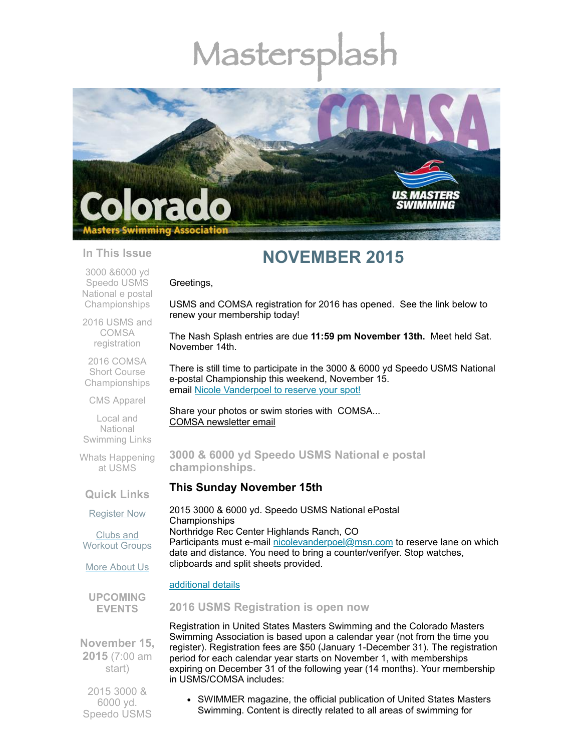# Mastersp



#### **In This Issue**

3000 &6000 yd Speedo USMS National e postal **[Championships](#page-0-0)** 

2016 USMS and COMSA [registration](#page-0-1)

2016 COMSA Short Course [Championships](#page-1-0)

CMS [Apparel](#page-1-1)

Local and **National** [Swimming](#page-1-2) Links

Whats [Happening](#page-1-3) at USMS

**Quick Links**

[Register](http://comsa.org/joining/index.html) Now

Clubs and [Workout](http://comsa.org/clubs/index.html) Groups

More [About](http://comsa.org/) Us

**UPCOMING EVENTS**

**November 15, 2015** (7:00 am start)

2015 3000 & 6000 yd. Speedo USMS

## **NOVEMBER 2015**

Greetings,

USMS and COMSA registration for 2016 has opened. See the link below to renew your membership today!

The Nash Splash entries are due **11:59 pm November 13th.** Meet held Sat. November 14th.

There is still time to participate in the 3000 & 6000 yd Speedo USMS National e-postal Championship this weekend, November 15. email Nicole [Vanderpoel](mailto:nicolevanderpoel@msn.com) to reserve your spot!

Share your photos or swim stories with COMSA... COMSA [newsletter](mailto:heidecrino@gmail.com) email

#### <span id="page-0-0"></span>**3000 & 6000 yd Speedo USMS National e postal championships.**

#### **This Sunday November 15th**

2015 3000 & 6000 yd. Speedo USMS National ePostal Championships Northridge Rec Center Highlands Ranch, CO Participants must e-mail [nicolevanderpoel@msn.com](mailto:nicolevanderpoel@msn.com) to reserve lane on which date and distance. You need to bring a counter/verifyer. Stop watches, clipboards and split sheets provided.

#### [additional](http://www.comsa.org/events/2015Pool/USMS_ePostal_Speedo%205K_112015.pdf) details

#### <span id="page-0-1"></span>**2016 USMS Registration is open now**

Registration in United States Masters Swimming and the Colorado Masters Swimming Association is based upon a calendar year (not from the time you register). Registration fees are \$50 (January 1-December 31). The registration period for each calendar year starts on November 1, with memberships expiring on December 31 of the following year (14 months). Your membership in USMS/COMSA includes:

SWIMMER magazine, the official publication of United States Masters Swimming. Content is directly related to all areas of swimming for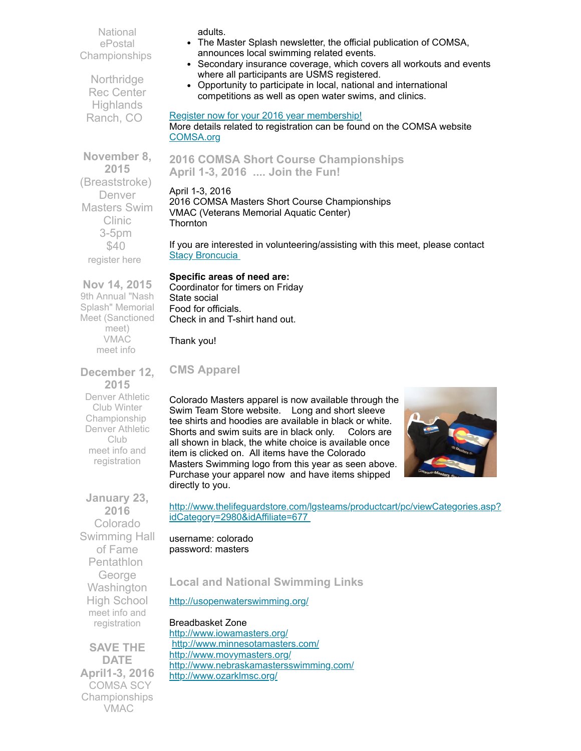National ePostal Championships

Northridge Rec Center **Highlands** Ranch, CO

adults.

- The Master Splash newsletter, the official publication of COMSA, announces local swimming related events.
- Secondary insurance coverage, which covers all workouts and events where all participants are USMS registered.
- Opportunity to participate in local, national and international competitions as well as open water swims, and clinics.

#### Register now for your 2016 year [membership!](http://www.comsa.org/joining/join-online.html)

More details related to registration can be found on the COMSA website [COMSA.org](http://www.comsa.org/joining/index.html)

#### <span id="page-1-0"></span>**2016 COMSA Short Course Championships April 1-3, 2016 .... Join the Fun!**

#### April 1-3, 2016 2016 COMSA Masters Short Course Championships VMAC (Veterans Memorial Aquatic Center) **Thornton**

If you are interested in volunteering/assisting with this meet, please contact **Stacy [Broncucia](mailto:sbroncucia@gmail.com)** 

#### **Specific areas of need are:**

Coordinator for timers on Friday State social Food for officials. Check in and T-shirt hand out.

Thank you!

### <span id="page-1-1"></span>**CMS Apparel**

Colorado Masters apparel is now available through the Swim Team Store website. Long and short sleeve tee shirts and hoodies are available in black or white. Shorts and swim suits are in black only. Colors are all shown in black, the white choice is available once item is clicked on. All items have the Colorado Masters Swimming logo from this year as seen above. Purchase your apparel now and have items shipped directly to you.



[http://www.thelifeguardstore.com/lgsteams/productcart/pc/viewCategories.asp?](http://www.thelifeguardstore.com/lgsteams/productcart/pc/viewCategories.asp?idCategory=2980&idAffiliate=677) idCategory=2980&idAffiliate=677

username: colorado password: masters

#### <span id="page-1-2"></span>**Local and National Swimming Links**

<http://usopenwaterswimming.org/>

<span id="page-1-3"></span>Breadbasket Zone <http://www.iowamasters.org/> <http://www.minnesotamasters.com/> <http://www.movymasters.org/> <http://www.nebraskamastersswimming.com/> <http://www.ozarklmsc.org/>

**November 8, 2015** (Breaststroke) Denver Masters Swim Clinic 3-5pm \$40 [register](mailto:swimmin4fun@msn.com) here

**Nov 14, 2015** 9th Annual "Nash Splash" Memorial Meet (Sanctioned meet) VMAC [meet](http://www.comsa.org/events/2015Pool/2015NashSplashSCM.pdf) info

**December 12, 2015** Denver Athletic Club Winter Championship Denver Athletic Club meet info and [registration](http://www.comsa.org/events/2015Pool/2015DAC_SCM.pdf)

**January 23, 2016** Colorado Swimming Hall of Fame **Pentathlon** George **Washington** High School meet info and [registration](http://www.comsa.org/events/2015Pool/2015HallofFame_SCY.pdf)

**SAVE THE DATE April1-3, 2016** COMSA SCY Championships VMAC